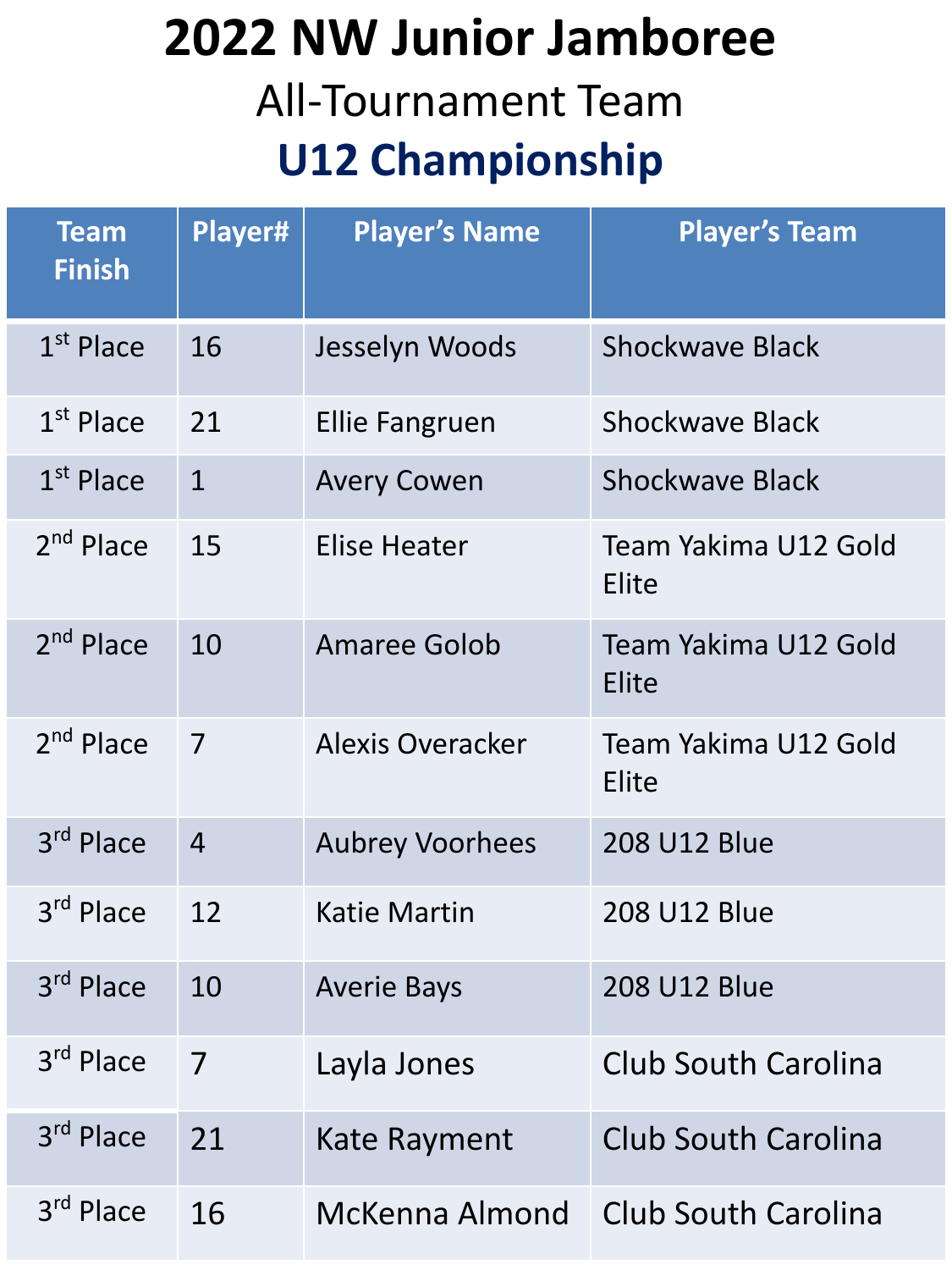## **2022 NW Junior Jamboree**  All-Tournament Team **U12 Championship**

| <b>Team</b><br><b>Finish</b> | Player#        | <b>Player's Name</b>    | <b>Player's Team</b>          |
|------------------------------|----------------|-------------------------|-------------------------------|
| $1st$ Place                  | 16             | Jesselyn Woods          | <b>Shockwave Black</b>        |
| $1st$ Place                  | 21             | <b>Ellie Fangruen</b>   | <b>Shockwave Black</b>        |
| 1 <sup>st</sup> Place        | $\mathbf{1}$   | <b>Avery Cowen</b>      | <b>Shockwave Black</b>        |
| $2nd$ Place                  | 15             | Elise Heater            | Team Yakima U12 Gold<br>Elite |
| 2 <sup>nd</sup> Place        | 10             | <b>Amaree Golob</b>     | Team Yakima U12 Gold<br>Elite |
| 2 <sup>nd</sup> Place        | 7              | <b>Alexis Overacker</b> | Team Yakima U12 Gold<br>Elite |
| 3rd Place                    | $\overline{4}$ | <b>Aubrey Voorhees</b>  | <b>208 U12 Blue</b>           |
| 3rd Place                    | 12             | <b>Katie Martin</b>     | 208 U12 Blue                  |
| 3rd Place                    | 10             | <b>Averie Bays</b>      | <b>208 U12 Blue</b>           |
| 3rd Place                    | $\overline{7}$ | Layla Jones             | Club South Carolina           |
| 3 <sup>rd</sup> Place        | 21             | <b>Kate Rayment</b>     | <b>Club South Carolina</b>    |
| 3rd Place                    | 16             | McKenna Almond          | Club South Carolina           |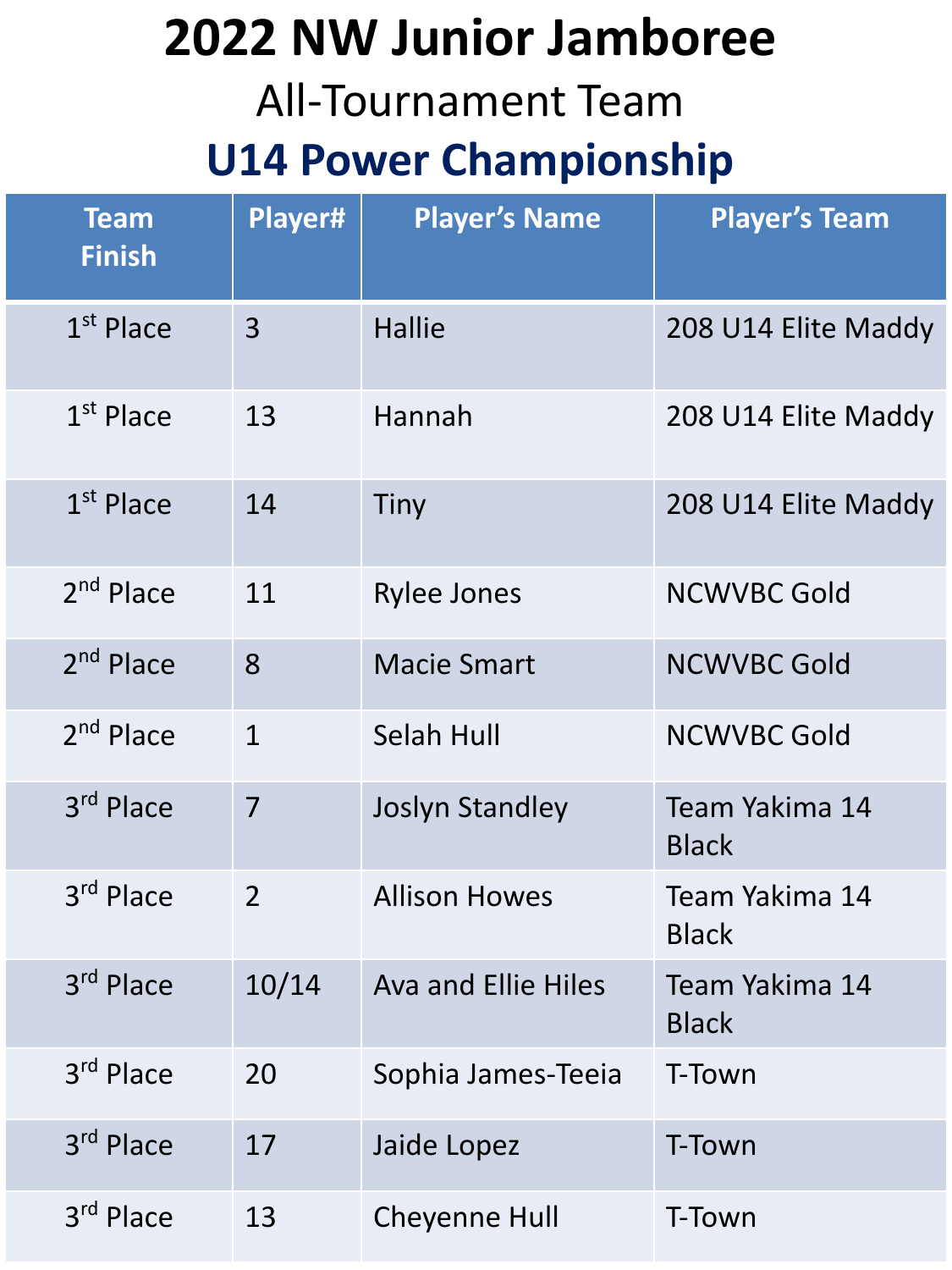## **2022 NW Junior Jamboree**

#### All-Tournament Team

#### **U14 Power Championship**

| <b>Team</b><br><b>Finish</b> | Player#        | <b>Player's Name</b>       | <b>Player's Team</b>           |
|------------------------------|----------------|----------------------------|--------------------------------|
| $1st$ Place                  | $\overline{3}$ | <b>Hallie</b>              | 208 U14 Elite Maddy            |
| $1st$ Place                  | 13             | Hannah                     | 208 U14 Elite Maddy            |
| $1st$ Place                  | 14             | <b>Tiny</b>                | 208 U14 Elite Maddy            |
| 2 <sup>nd</sup> Place        | 11             | <b>Rylee Jones</b>         | <b>NCWVBC Gold</b>             |
| 2 <sup>nd</sup> Place        | 8              | <b>Macie Smart</b>         | <b>NCWVBC Gold</b>             |
| 2 <sup>nd</sup> Place        | $\mathbf{1}$   | <b>Selah Hull</b>          | <b>NCWVBC Gold</b>             |
| 3rd Place                    | $\overline{7}$ | <b>Joslyn Standley</b>     | Team Yakima 14<br><b>Black</b> |
| 3 <sup>rd</sup> Place        | $\overline{2}$ | <b>Allison Howes</b>       | Team Yakima 14<br><b>Black</b> |
| 3rd Place                    | 10/14          | <b>Ava and Ellie Hiles</b> | Team Yakima 14<br><b>Black</b> |
| 3 <sup>rd</sup> Place        | 20             | Sophia James-Teeia         | T-Town                         |
| 3 <sup>rd</sup> Place        | 17             | Jaide Lopez                | T-Town                         |
| 3 <sup>rd</sup> Place        | 13             | <b>Cheyenne Hull</b>       | T-Town                         |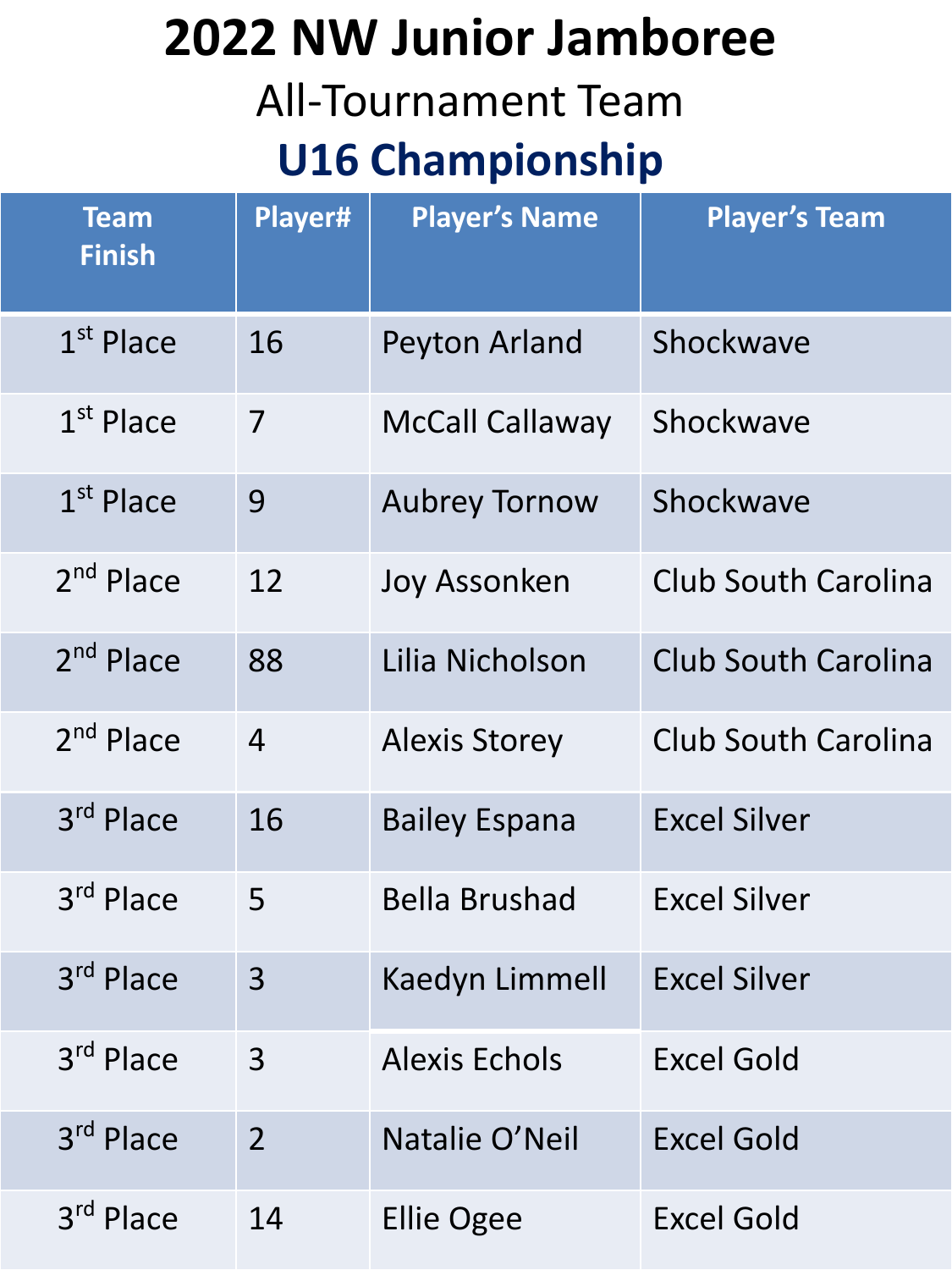# **2022 NW Junior Jamboree**  All-Tournament Team

### **U16 Championship**

| <b>Team</b><br><b>Finish</b> | Player#        | <b>Player's Name</b>   | <b>Player's Team</b>       |
|------------------------------|----------------|------------------------|----------------------------|
| $1st$ Place                  | 16             | Peyton Arland          | Shockwave                  |
| $1st$ Place                  | 7              | <b>McCall Callaway</b> | Shockwave                  |
| $1st$ Place                  | 9              | <b>Aubrey Tornow</b>   | Shockwave                  |
| 2 <sup>nd</sup> Place        | 12             | Joy Assonken           | <b>Club South Carolina</b> |
| 2 <sup>nd</sup> Place        | 88             | Lilia Nicholson        | <b>Club South Carolina</b> |
| 2 <sup>nd</sup> Place        | $\overline{4}$ | <b>Alexis Storey</b>   | <b>Club South Carolina</b> |
| 3rd Place                    | 16             | <b>Bailey Espana</b>   | <b>Excel Silver</b>        |
| 3rd Place                    | 5              | <b>Bella Brushad</b>   | <b>Excel Silver</b>        |
| 3rd Place                    | 3              | <b>Kaedyn Limmell</b>  | <b>Excel Silver</b>        |
| 3rd Place                    | 3              | <b>Alexis Echols</b>   | <b>Excel Gold</b>          |
| 3rd Place                    | $\overline{2}$ | Natalie O'Neil         | <b>Excel Gold</b>          |
| 3rd Place                    | 14             | <b>Ellie Ogee</b>      | <b>Excel Gold</b>          |